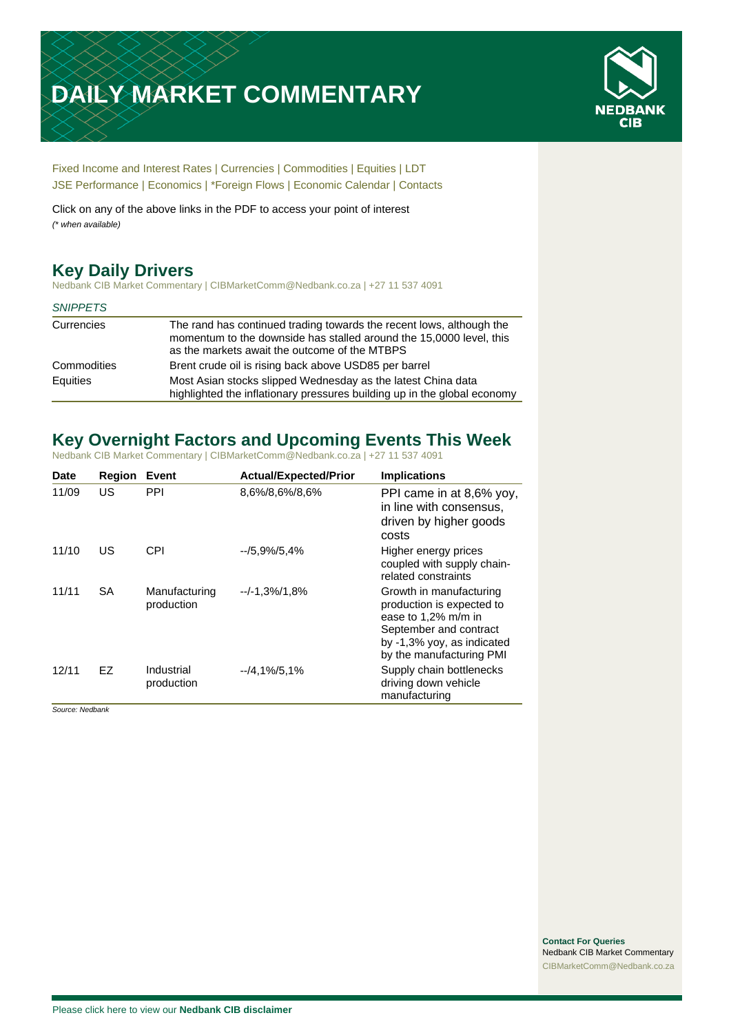# **DAILY MARKET COMMENTARY**



[Fixed Income and Interest Rates](#page-1-0) | [Currencies](#page-2-0) | [Commodities](#page-3-0) [| Equities](#page-4-0) | [LDT](#page-5-0) [JSE Performance](#page-6-0) | [Economics](#page-7-0) | \*Foreign Flows | [Economic Calendar](#page-7-0) | [Contacts](#page-8-0)

Click on any of the above links in the PDF to access your point of interest *(\* when available)*

# **Key Daily Drivers**

Nedbank CIB Market Commentary | CIBMarketComm@Nedbank.co.za | +27 11 537 4091

| <b>SNIPPETS</b> |                                                                                                                                                                                              |
|-----------------|----------------------------------------------------------------------------------------------------------------------------------------------------------------------------------------------|
| Currencies      | The rand has continued trading towards the recent lows, although the<br>momentum to the downside has stalled around the 15,0000 level, this<br>as the markets await the outcome of the MTBPS |
| Commodities     | Brent crude oil is rising back above USD85 per barrel                                                                                                                                        |
| Equities        | Most Asian stocks slipped Wednesday as the latest China data<br>highlighted the inflationary pressures building up in the global economy                                                     |

# **Key Overnight Factors and Upcoming Events This Week**

Nedbank CIB Market Commentary | CIBMarketComm@Nedbank.co.za | +27 11 537 4091

| <b>Date</b> | <b>Region</b> | Event                       | <b>Actual/Expected/Prior</b> | <b>Implications</b>                                                                                                                                             |
|-------------|---------------|-----------------------------|------------------------------|-----------------------------------------------------------------------------------------------------------------------------------------------------------------|
| 11/09       | US            | PPI                         | 8,6%/8,6%/8,6%               | PPI came in at 8,6% yoy,<br>in line with consensus.<br>driven by higher goods<br>costs                                                                          |
| 11/10       | US            | CPI                         | $-15.9\%/5.4\%$              | Higher energy prices<br>coupled with supply chain-<br>related constraints                                                                                       |
| 11/11       | <b>SA</b>     | Manufacturing<br>production | $-/-1,3%$ /1,8%              | Growth in manufacturing<br>production is expected to<br>ease to 1,2% m/m in<br>September and contract<br>by -1,3% yoy, as indicated<br>by the manufacturing PMI |
| 12/11       | <b>EZ</b>     | Industrial<br>production    | $-4.1\%/5.1\%$               | Supply chain bottlenecks<br>driving down vehicle<br>manufacturing                                                                                               |

*Source: Nedbank*

**Contact For Queries** Nedbank CIB Market Commentary [CIBMarketComm@Nedbank.co.za](file:///C:/Users/Paul-Rose/AppData/Roaming/Bluecurve/templates/CIBMarketComm@Nedbank.co.za)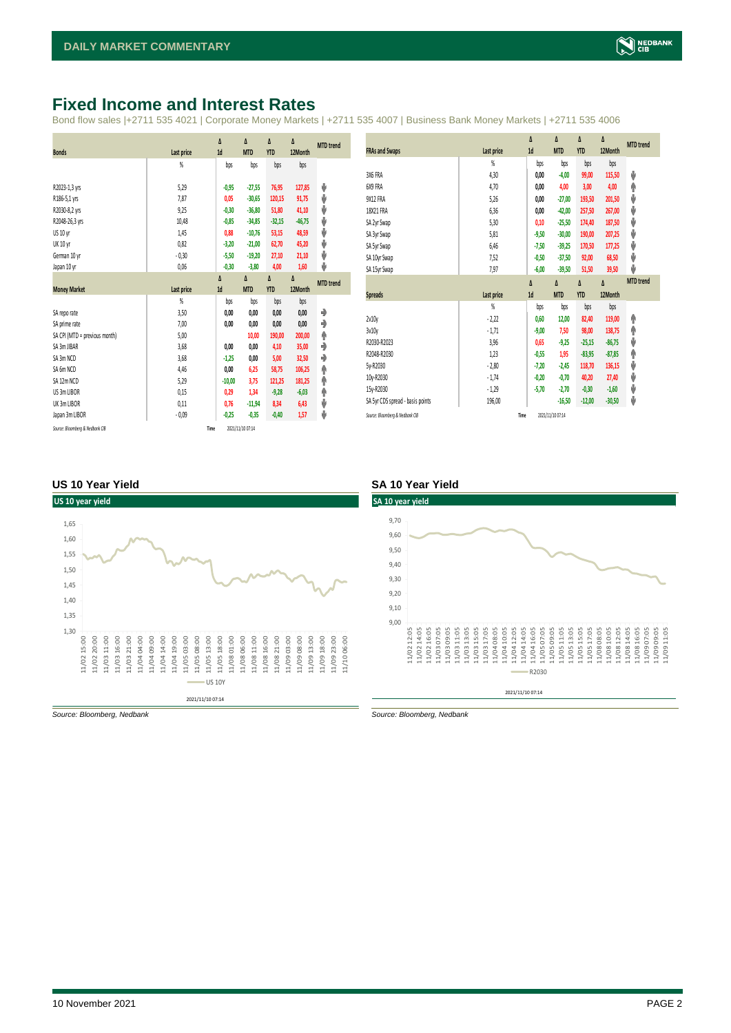### <span id="page-1-0"></span>**Fixed Income and Interest Rates**

Bond flow sales |+2711 535 4021 | Corporate Money Markets | +2711 535 4007 | Business Bank Money Markets | +2711 535 4006

|                                 |            | Δ        | Δ                | Δ          | Δ        | <b>MTD</b> trend |
|---------------------------------|------------|----------|------------------|------------|----------|------------------|
| <b>Bonds</b>                    | Last price | 1d       | <b>MTD</b>       | <b>YTD</b> | 12Month  |                  |
|                                 | %          | bps      | bps              | bps        | bps      |                  |
|                                 |            |          |                  |            |          |                  |
| R2023-1,3 yrs                   | 5,29       | $-0,95$  | $-27,55$         | 76,95      | 127,85   | ψ                |
| R186-5,1 yrs                    | 7,87       | 0,05     | $-30,65$         | 120,15     | 91,75    | ψ                |
| R2030-8,2 yrs                   | 9,25       | $-0,30$  | $-36,80$         | 51,80      | 41,10    | ψ                |
| R2048-26,3 yrs                  | 10,48      | $-0,85$  | $-34,85$         | $-32,15$   | $-46,75$ | ψ                |
| US 10 yr                        | 1,45       | 0,88     | $-10,76$         | 53,15      | 48,59    | ψ                |
| <b>UK 10 yr</b>                 | 0,82       | $-3,20$  | $-21,00$         | 62,70      | 45,20    | ψ                |
| German 10 yr                    | $-0,30$    | $-5,50$  | $-19,20$         | 27,10      | 21,10    | ψ                |
| Japan 10 yr                     | 0,06       | $-0,30$  | $-3,80$          | 4,00       | 1,60     | ψ                |
|                                 |            | Δ        | Δ                | Δ          | Δ        | <b>MTD</b> trend |
| <b>Money Market</b>             | Last price | 1d       | <b>MTD</b>       | <b>YTD</b> | 12Month  |                  |
|                                 | %          | bps      | bps              | bps        | bps      |                  |
| SA reporate                     | 3,50       | 0,00     | 0,00             | 0,00       | 0,00     | ۰                |
| SA prime rate                   | 7,00       | 0,00     | 0,00             | 0,00       | 0,00     | ٠                |
| SA CPI (MTD = previous month)   | 5,00       |          | 10,00            | 190,00     | 200,00   | ۸                |
| SA 3m JIBAR                     | 3,68       | 0,00     | 0,00             | 4,10       | 35,00    | ٠                |
| SA 3m NCD                       | 3,68       | $-1,25$  | 0,00             | 5,00       | 32,50    | ٠                |
| SA 6m NCD                       | 4,46       | 0,00     | 6,25             | 58,75      | 106,25   | ۸                |
| SA 12m NCD                      | 5,29       | $-10,00$ | 3,75             | 121,25     | 181,25   | ۸                |
| US 3m LIBOR                     | 0,15       | 0,29     | 1,34             | $-9,28$    | $-6,03$  | ۸                |
| UK 3m LIBOR                     | 0,11       | 0,76     | $-11,94$         | 8,34       | 6,43     | ψ                |
| Japan 3m LIBOR                  | $-0.09$    | $-0,25$  | $-0,35$          | $-0,40$    | 1,57     | ψ                |
| Source: Bloomberg & Nedbank CIB | Time       |          | 2021/11/10 07:14 |            |          |                  |

|                                  |                | Δ       | Δ                | Δ          | Δ        | <b>MTD</b> trend |
|----------------------------------|----------------|---------|------------------|------------|----------|------------------|
| <b>FRAs and Swaps</b>            | Last price     | 1d      | <b>MTD</b>       | <b>YTD</b> | 12Month  |                  |
|                                  | $\frac{9}{20}$ | bps     | bps              | bps        | bps      |                  |
| 3X6 FRA                          | 4,30           | 0,00    | $-4,00$          | 99,00      | 115,50   | ψ                |
| 6X9 FRA                          | 4,70           | 0,00    | 4,00             | 3,00       | 4,00     | ۸                |
| 9X12 FRA                         | 5,26           | 0,00    | $-27,00$         | 193,50     | 201,50   | ψ                |
| 18X21 FRA                        | 6,36           | 0,00    | $-42,00$         | 257,50     | 267,00   | ψ                |
| SA 2yr Swap                      | 5,30           | 0,10    | $-25,50$         | 174,40     | 187,50   | ψ                |
| SA 3yr Swap                      | 5,81           | $-9,50$ | $-30,00$         | 190,00     | 207,25   | ψ                |
| SA 5yr Swap                      | 6,46           | $-7,50$ | $-39,25$         | 170,50     | 177,25   | ψ                |
| SA 10yr Swap                     | 7,52           | $-0,50$ | $-37,50$         | 92,00      | 68,50    | ψ                |
| SA 15yr Swap                     | 7,97           | $-6,00$ | $-39,50$         | 51,50      | 39,50    | v                |
|                                  |                | Δ       | Δ                | Δ          | $\Delta$ | <b>MTD</b> trend |
| <b>Spreads</b>                   | Last price     | 1d      | <b>MTD</b>       | <b>YTD</b> | 12Month  |                  |
|                                  | $\frac{9}{20}$ | bps     | bps              | bps        | bps      |                  |
| 2v10v                            | $-2,22$        | 0.60    | 12,00            | 82,40      | 119,00   | ۸                |
| 3v10y                            | $-1,71$        | $-9,00$ | 7,50             | 98,00      | 138,75   | ۸                |
| R2030-R2023                      | 3,96           | 0.65    | $-9,25$          | $-25,15$   | $-86,75$ | ψ                |
| R2048-R2030                      | 1,23           | $-0,55$ | 1,95             | $-83,95$   | $-87,85$ | ۸                |
| 5y-R2030                         | $-2,80$        | $-7,20$ | $-2,45$          | 118,70     | 136,15   | ψ                |
| 10y-R2030                        | $-1,74$        | $-0,20$ | $-0,70$          | 40,20      | 27,40    | ψ                |
| 15y-R2030                        | $-1,29$        | $-5,70$ | $-2,70$          | $-0,30$    | $-1,60$  | ψ                |
| SA 5yr CDS spread - basis points | 196,00         |         | $-16,50$         | $-12,00$   | $-30,50$ | ψ                |
| Source: Bloomberg & Nedbank CIB  | Time           |         | 2021/11/10 07:14 |            |          |                  |

#### **US 10 Year Yield SA 10 Year Yield**



*Source: Bloomberg, Nedbank Source: Bloomberg, Nedbank*

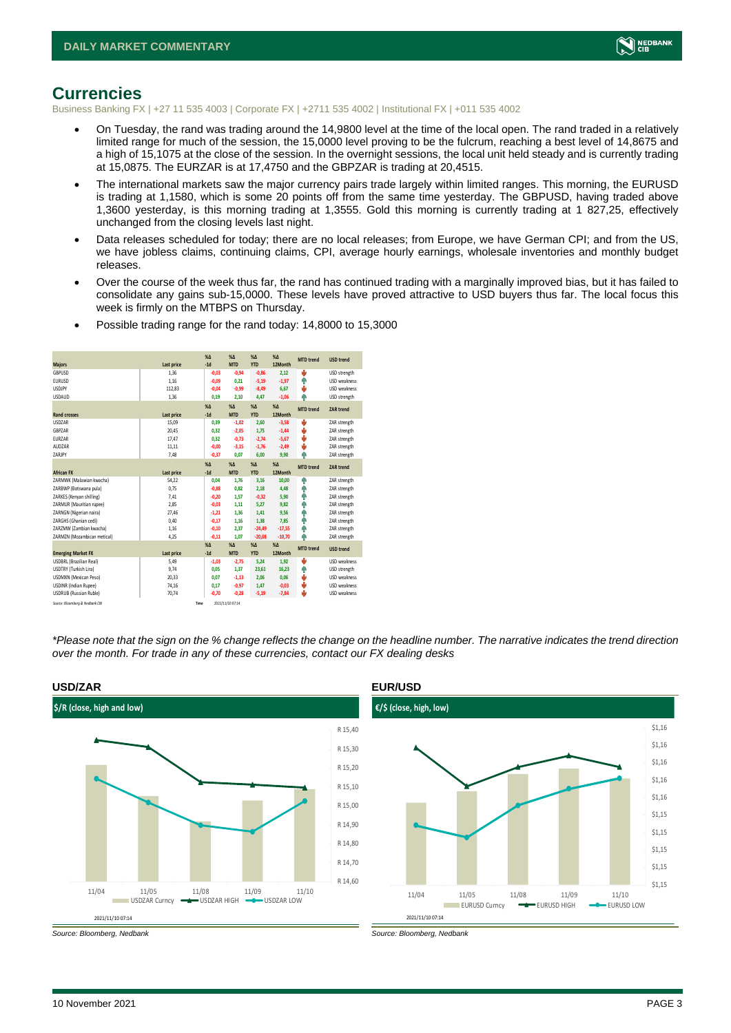

#### <span id="page-2-0"></span>**Currencies**

Business Banking FX | +27 11 535 4003 | Corporate FX | +2711 535 4002 | Institutional FX | +011 535 4002

- On Tuesday, the rand was trading around the 14,9800 level at the time of the local open. The rand traded in a relatively limited range for much of the session, the 15,0000 level proving to be the fulcrum, reaching a best level of 14,8675 and a high of 15,1075 at the close of the session. In the overnight sessions, the local unit held steady and is currently trading at 15,0875. The EURZAR is at 17,4750 and the GBPZAR is trading at 20,4515.
- The international markets saw the major currency pairs trade largely within limited ranges. This morning, the EURUSD is trading at 1,1580, which is some 20 points off from the same time yesterday. The GBPUSD, having traded above 1,3600 yesterday, is this morning trading at 1,3555. Gold this morning is currently trading at 1 827,25, effectively unchanged from the closing levels last night.
- Data releases scheduled for today; there are no local releases; from Europe, we have German CPI; and from the US, we have jobless claims, continuing claims, CPI, average hourly earnings, wholesale inventories and monthly budget releases.
- Over the course of the week thus far, the rand has continued trading with a marginally improved bias, but it has failed to consolidate any gains sub-15,0000. These levels have proved attractive to USD buyers thus far. The local focus this week is firmly on the MTBPS on Thursday.

|                                 |            | X <sub>A</sub> | $X\Delta$        | $% \Delta$ | $% \Delta$ |                  |                     |
|---------------------------------|------------|----------------|------------------|------------|------------|------------------|---------------------|
| <b>Majors</b>                   | Last price | $-1d$          | <b>MTD</b>       | <b>YTD</b> | 12Month    | <b>MTD</b> trend | <b>USD trend</b>    |
| GBPUSD                          | 1.36       | $-0,03$        | $-0,94$          | $-0,86$    | 2.12       | v                | USD strength        |
| <b>EURUSD</b>                   | 1.16       | $-0,09$        | 0.21             | $-5,19$    | $-1,97$    | ٠                | <b>USD</b> weakness |
| <b>USDJPY</b>                   | 112,83     | $-0,04$        | $-0,99$          | $-8,49$    | 6,67       | v                | <b>USD</b> weakness |
| <b>USDAUD</b>                   | 1,36       | 0,19           | 2,10             | 4,47       | $-1,06$    | ٨                | USD strength        |
|                                 |            | X <sub>A</sub> | X <sub>A</sub>   | $% \Delta$ | $% \Delta$ | <b>MTD</b> trend | ZAR trend           |
| <b>Rand crosses</b>             | Last price | $-1d$          | <b>MTD</b>       | <b>YTD</b> | 12Month    |                  |                     |
| <b>USDZAR</b>                   | 15,09      | 0,39           | $-1,02$          | 2,60       | $-3,58$    | v                | ZAR strength        |
| GBPZAR                          | 20,45      | 0.32           | $-2,05$          | 1,75       | $-1,44$    | ÷                | ZAR strength        |
| EURZAR                          | 17,47      | 0,32           | $-0.73$          | $-2,74$    | $-5,67$    | J                | ZAR strength        |
| AUD7AR                          | 11,11      | $-0,00$        | $-3,15$          | $-1,76$    | $-2,49$    | ψ                | ZAR strength        |
| ZARJPY                          | 7,48       | $-0,37$        | 0,07             | 6,00       | 9,90       | ٨                | ZAR strength        |
|                                 |            | X <sub>A</sub> | X <sub>A</sub>   | $% \Delta$ | $% \Delta$ | <b>MTD</b> trend | <b>ZAR trend</b>    |
| <b>African FX</b>               | Last price | $-1d$          | <b>MTD</b>       | <b>YTD</b> | 12Month    |                  |                     |
| ZARMWK (Malawian kwacha)        | 54,22      | 0,04           | 1,76             | 3,16       | 10.00      | ٠                | ZAR strength        |
| ZARBWP (Botswana pula)          | 0.75       | $-0.88$        | 0.82             | 2,18       | 4.48       | ٠                | ZAR strength        |
| ZARKES (Kenyan shilling)        | 7,41       | $-0,20$        | 1,57             | $-0,32$    | 5,90       | ۸                | ZAR strength        |
| ZARMUR (Mauritian rupee)        | 2.85       | $-0.03$        | 1.11             | 5.27       | 9.82       | ٠                | ZAR strength        |
| ZARNGN (Nigerian naira)         | 27,46      | $-1,21$        | 1,36             | 1,41       | 9,56       | ٠                | ZAR strength        |
| ZARGHS (Ghanian cedi)           | 0.40       | $-0,17$        | 1,16             | 1,38       | 7.85       | ۸                | ZAR strength        |
| ZARZMW (Zambian kwacha)         | 1,16       | $-0,10$        | 2,37             | $-24,49$   | $-17,55$   | ٠                | ZAR strength        |
| ZARMZN (Mozambican metical)     | 4,25       | $-0,11$        | 1.07             | $-20,08$   | $-10,70$   | ۸                | ZAR strength        |
|                                 |            | $X\Delta$      | X <sub>A</sub>   | $% \Delta$ | $% \Delta$ | <b>MTD</b> trend | <b>USD trend</b>    |
| <b>Emerging Market FX</b>       | Last price | $-1d$          | <b>MTD</b>       | <b>YTD</b> | 12Month    |                  |                     |
| <b>USDBRL</b> (Brazilian Real)  | 5,49       | $-1,03$        | $-2,75$          | 5,24       | 1,92       | v                | USD weakness        |
| USDTRY (Turkish Lira)           | 9,74       | 0,05           | 1,37             | 23,61      | 16,23      | ٠                | USD strength        |
| <b>USDMXN (Mexican Peso)</b>    | 20,33      | 0.07           | $-1,13$          | 2,06       | 0,06       | v                | USD weakness        |
| <b>USDINR</b> (Indian Rupee)    | 74,16      | 0,17           | $-0,97$          | 1,47       | $-0,03$    | v                | <b>USD</b> weakness |
| <b>USDRUB</b> (Russian Ruble)   | 70,74      | $-0,70$        | $-0,28$          | $-5,19$    | $-7,84$    | ٥                | USD weakness        |
| Source: Bloomberg & Nedbank CIB |            | Time           | 2021/11/10 07:14 |            |            |                  |                     |

• Possible trading range for the rand today: 14,8000 to 15,3000

*\*Please note that the sign on the % change reflects the change on the headline number. The narrative indicates the trend direction over the month. For trade in any of these currencies, contact our FX dealing desks*



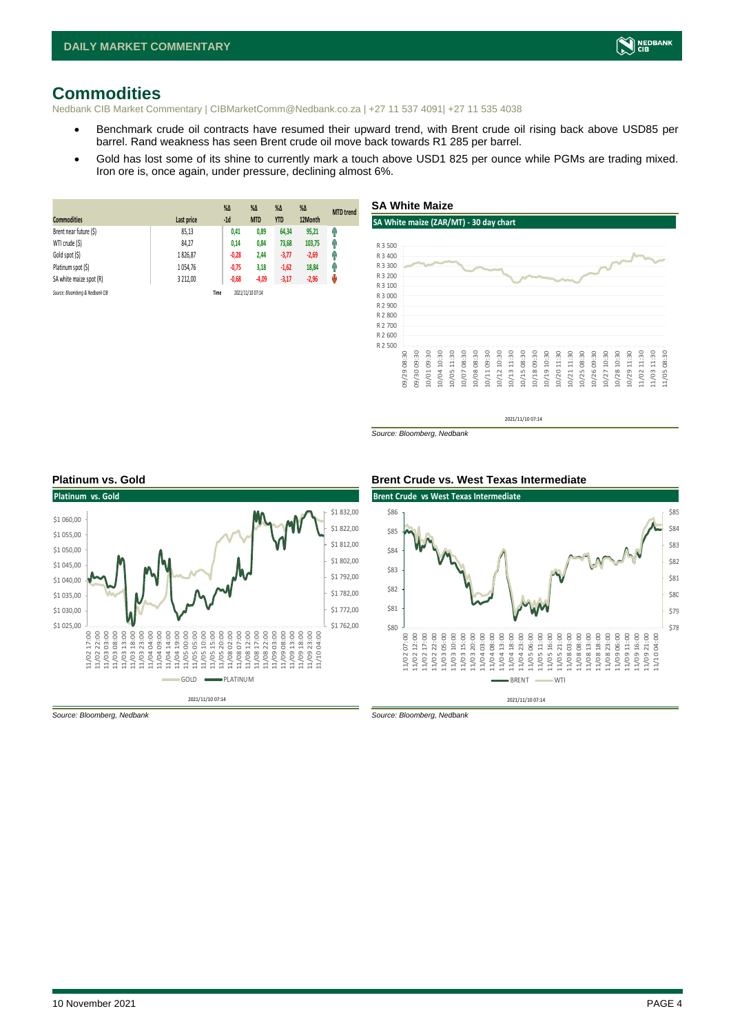

### <span id="page-3-0"></span>**Commodities**

Nedbank CIB Market Commentary | CIBMarketComm@Nedbank.co.za | +27 11 537 4091| +27 11 535 4038

- Benchmark crude oil contracts have resumed their upward trend, with Brent crude oil rising back above USD85 per barrel. Rand weakness has seen Brent crude oil move back towards R1 285 per barrel.
- Gold has lost some of its shine to currently mark a touch above USD1 825 per ounce while PGMs are trading mixed. Iron ore is, once again, under pressure, declining almost 6%.

| <b>Commodities</b>              | Last price | $%$ $\Delta$<br>$-1d$ | %Δ<br><b>MTD</b> | $%$ $\Delta$<br><b>YTD</b> | $%$ $\Delta$<br>12Month | <b>MTD</b> trend |
|---------------------------------|------------|-----------------------|------------------|----------------------------|-------------------------|------------------|
| Brent near future (\$)          | 85,13      | 0,41                  | 0,89             | 64,34                      | 95,21                   | Ĥ                |
| WTI crude (\$)                  | 84.27      | 0,14                  | 0,84             | 73,68                      | 103,75                  | Ŵ                |
| Gold spot (\$)                  | 1826,87    | $-0,28$               | 2,44             | $-3,77$                    | $-2,69$                 | φ                |
| Platinum spot (\$)              | 1054,76    | $-0,75$               | 3,18             | $-1,62$                    | 18,84                   | Ĥ                |
| SA white maize spot (R)         | 3 212,00   | $-0,68$               | $-4,09$          | $-3,17$                    | $-2,96$                 | μ                |
| Source: Bloomberg & Nedbank CIB |            | Time                  | 2021/11/10 07:14 |                            |                         |                  |



2021/11/10 07:14

*Source: Bloomberg, Nedbank*



#### **Platinum vs. Gold Brent Crude vs. West Texas Intermediate**

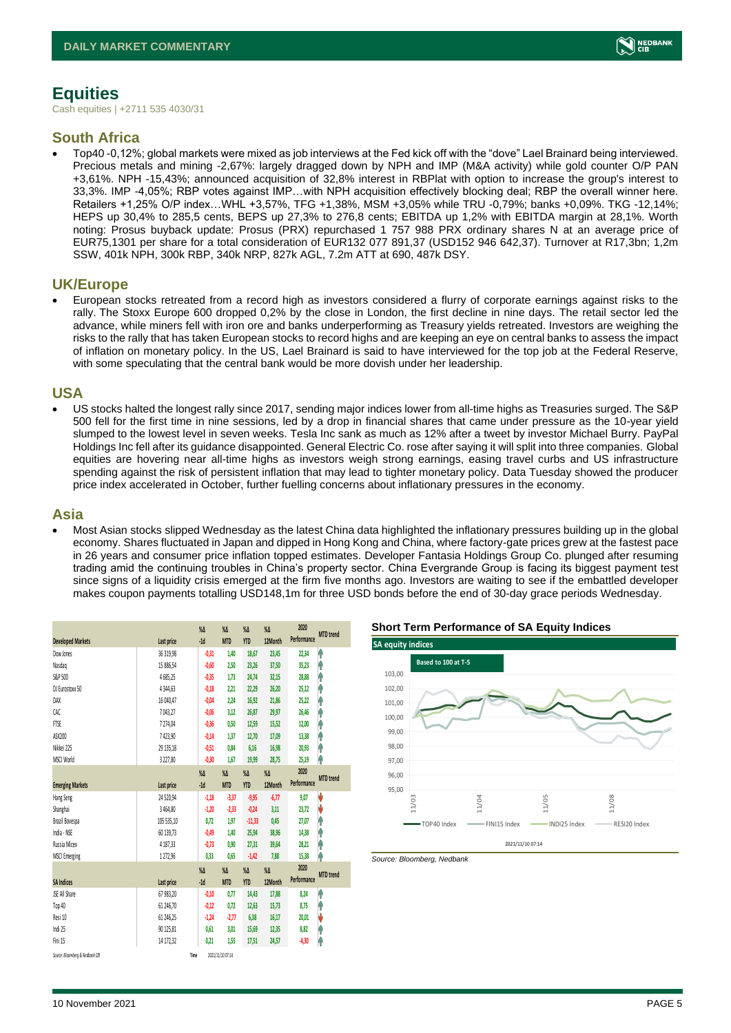# <span id="page-4-0"></span>**Equities**

Cash equities | +2711 535 4030/31

#### **South Africa**

• Top40 -0,12%; global markets were mixed as job interviews at the Fed kick off with the "dove" Lael Brainard being interviewed. Precious metals and mining -2,67%: largely dragged down by NPH and IMP (M&A activity) while gold counter O/P PAN +3,61%. NPH -15,43%; announced acquisition of 32,8% interest in RBPlat with option to increase the group's interest to 33,3%. IMP -4,05%; RBP votes against IMP…with NPH acquisition effectively blocking deal; RBP the overall winner here. Retailers +1,25% O/P index…WHL +3,57%, TFG +1,38%, MSM +3,05% while TRU -0,79%; banks +0,09%. TKG -12,14%; HEPS up 30,4% to 285,5 cents, BEPS up 27,3% to 276,8 cents; EBITDA up 1,2% with EBITDA margin at 28,1%. Worth noting: Prosus buyback update: Prosus (PRX) repurchased 1 757 988 PRX ordinary shares N at an average price of EUR75,1301 per share for a total consideration of EUR132 077 891,37 (USD152 946 642,37). Turnover at R17,3bn; 1,2m SSW, 401k NPH, 300k RBP, 340k NRP, 827k AGL, 7.2m ATT at 690, 487k DSY.

#### **UK/Europe**

• European stocks retreated from a record high as investors considered a flurry of corporate earnings against risks to the rally. The Stoxx Europe 600 dropped 0,2% by the close in London, the first decline in nine days. The retail sector led the advance, while miners fell with iron ore and banks underperforming as Treasury yields retreated. Investors are weighing the risks to the rally that has taken European stocks to record highs and are keeping an eye on central banks to assess the impact of inflation on monetary policy. In the US, Lael Brainard is said to have interviewed for the top job at the Federal Reserve, with some speculating that the central bank would be more dovish under her leadership.

#### **USA**

• US stocks halted the longest rally since 2017, sending major indices lower from all-time highs as Treasuries surged. The S&P 500 fell for the first time in nine sessions, led by a drop in financial shares that came under pressure as the 10-year yield slumped to the lowest level in seven weeks. Tesla Inc sank as much as 12% after a tweet by investor Michael Burry. PayPal Holdings Inc fell after its guidance disappointed. General Electric Co. rose after saying it will split into three companies. Global equities are hovering near all-time highs as investors weigh strong earnings, easing travel curbs and US infrastructure spending against the risk of persistent inflation that may lead to tighter monetary policy. Data Tuesday showed the producer price index accelerated in October, further fuelling concerns about inflationary pressures in the economy.

#### **Asia**

• Most Asian stocks slipped Wednesday as the latest China data highlighted the inflationary pressures building up in the global economy. Shares fluctuated in Japan and dipped in Hong Kong and China, where factory-gate prices grew at the fastest pace in 26 years and consumer price inflation topped estimates. Developer Fantasia Holdings Group Co. plunged after resuming trading amid the continuing troubles in China's property sector. China Evergrande Group is facing its biggest payment test since signs of a liquidity crisis emerged at the firm five months ago. Investors are waiting to see if the embattled developer makes coupon payments totalling USD148,1m for three USD bonds before the end of 30-day grace periods Wednesday.

|                                 |            | $\%$ $\Delta$ | $\%$ $\Delta$     | $\%$ $\Delta$ | $\%$ $\Delta$ | 2020        | <b>MTD</b> trend |
|---------------------------------|------------|---------------|-------------------|---------------|---------------|-------------|------------------|
| <b>Developed Markets</b>        | Last price | $-1d$         | <b>MTD</b>        | <b>YTD</b>    | 12Month       | Performance |                  |
| Dow Jones                       | 36 319,98  | $-0,31$       | 1,40              | 18,67         | 23,45         | 22,34       | ۸                |
| Nasdao                          | 15 886,54  | $-0,60$       | 2,50              | 23,26         | 37,50         | 35,23       | Ŷ                |
| S&P 500                         | 4685,25    | $-0,35$       | 1,73              | 24,74         | 32,15         | 28,88       | ł                |
| DJ Eurostoxx 50                 | 4344,63    | $-0,18$       | 2,21              | 22,29         | 26,20         | 25,12       | Ĥ                |
| DAX                             | 16 040,47  | $-0,04$       | 2.24              | 16,92         | 21,86         | 25,22       | Ŷ                |
| CAC                             | 7043,27    | $-0,06$       | 3,12              | 26,87         | 29,97         | 26,46       | ł                |
| <b>FTSE</b>                     | 7274,04    | $-0,36$       | 0,50              | 12,59         | 15,52         | 12,00       | Ĥ                |
| ASX200                          | 7423.90    | $-0,14$       | 1.37              | 12,70         | 17,09         | 13,38       | Ŷ                |
| Nikkei 225                      | 29 135,18  | $-0,51$       | 0,84              | 6,16          | 16,98         | 20,93       | ۸                |
| MSCI World                      | 3 227,80   | $-0,30$       | 1,67              | 19,99         | 28,75         | 25,19       | ۸                |
|                                 |            | $\%$          | $\%$ $\Delta$     | $\%$ $\Delta$ | $\%$          | 2020        |                  |
| <b>Emerging Markets</b>         | Last price | $-1d$         | <b>MTD</b>        | <b>YTD</b>    | 12Month       | Performance | <b>MTD</b> trend |
| Hang Seng                       | 24 520,94  | $-1,18$       | $-3,37$           | $-9,95$       | $-6,77$       | 9,07        | V                |
| Shanghai                        | 3 464,80   | $-1,20$       | $-2,33$           | $-0,24$       | 3,11          | 23,72       | V                |
| Brazil Bovespa                  | 105 535,10 | 0,72          | 1,97              | $-11,33$      | 0,45          | 27,07       | f                |
| India - NSE                     | 60 139,73  | $-0.49$       | 1.40              | 25,94         | 38,96         | 14,38       | ۸                |
| Russia Micex                    | 4 187,33   | $-0,73$       | 0.90              | 27,31         | 39,64         | 28,21       | φ                |
| <b>MSCI Emerging</b>            | 1272,96    | 0,33          | 0,65              | $-1,42$       | 7,88          | 15,38       | ۸                |
|                                 |            | $\%$          | $\%$ $\Delta$     | $\% \Delta$   | $\%$          | 2020        |                  |
| <b>SA Indices</b>               | Last price | $-1d$         | <b>MTD</b>        | <b>YTD</b>    | 12Month       | Performance | <b>MTD</b> trend |
| <b>JSE All Share</b>            | 67 983,20  | $-0,10$       | 0,77              | 14,43         | 17,88         | 8,24        | ۸                |
| Top 40                          | 61 246.70  | $-0,12$       | 0.72              | 12,63         | 15,73         | 8,75        | φ                |
| Resi 10                         | 61 246,25  | $-1,24$       | $-2, 77$          | 6,38          | 16,17         | 20,01       | V                |
| Indi 25                         | 90 125,81  | 0,61          | 3,01              | 15,69         | 12,35         | 8,82        | φ                |
| Fini 15                         | 14 172.32  | 0.21          | 1,55              | 17,51         | 24,57         | $-4,30$     | Ĥ                |
| $A = -0.1$ $A = 0.1$ $A = 1.00$ |            | . .           | anno les len mars |               |               |             |                  |

2021/11/10 07:14

**Short Term Performance of SA Equity Indices**



*Source: Bloomberg, Nedbank*

*Source: Bloomberg & Nedbank CIB* **Time**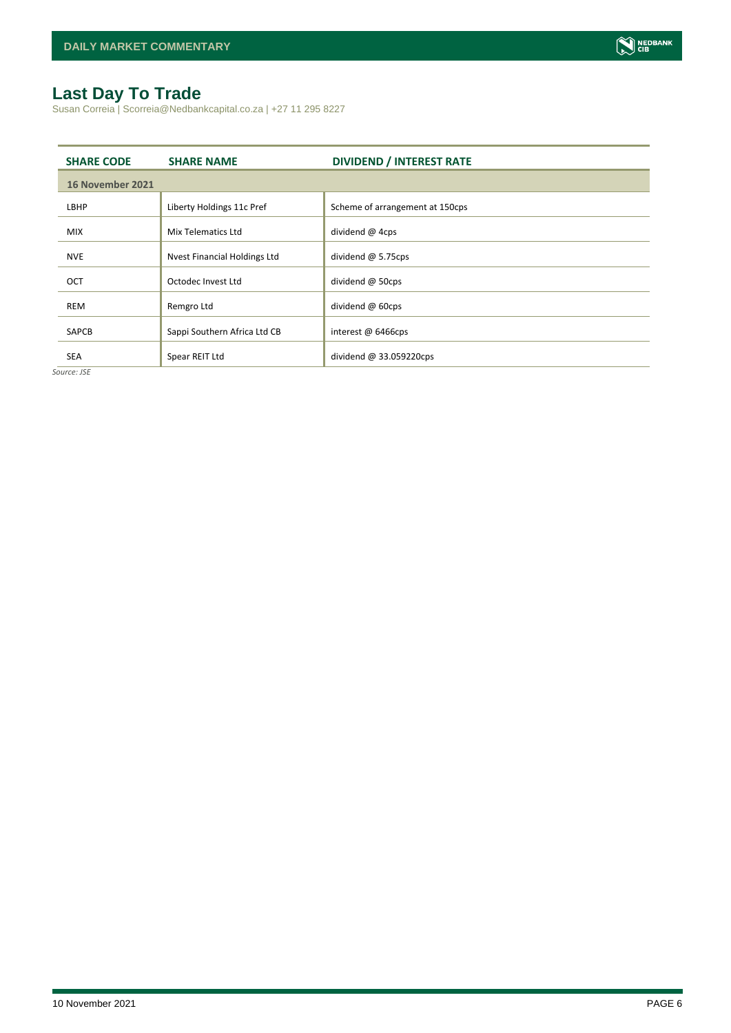## <span id="page-5-0"></span>**Last Day To Trade**

Susan Correia | Scorreia@Nedbankcapital.co.za | +27 11 295 8227

| <b>SHARE CODE</b> | <b>SHARE NAME</b>            | <b>DIVIDEND / INTEREST RATE</b> |  |  |  |  |
|-------------------|------------------------------|---------------------------------|--|--|--|--|
| 16 November 2021  |                              |                                 |  |  |  |  |
| LBHP              | Liberty Holdings 11c Pref    | Scheme of arrangement at 150cps |  |  |  |  |
| <b>MIX</b>        | Mix Telematics Ltd           | dividend @ 4cps                 |  |  |  |  |
| <b>NVE</b>        | Nyest Financial Holdings Ltd | dividend $@$ 5.75cps            |  |  |  |  |
| OCT               | Octodec Invest Ltd           | dividend @ 50cps                |  |  |  |  |
| <b>REM</b>        | Remgro Ltd                   | dividend @ 60cps                |  |  |  |  |
| <b>SAPCB</b>      | Sappi Southern Africa Ltd CB | interest @ 6466cps              |  |  |  |  |
| <b>SEA</b>        | Spear REIT Ltd               | dividend $@33.059220$ cps       |  |  |  |  |

*Source: JSE*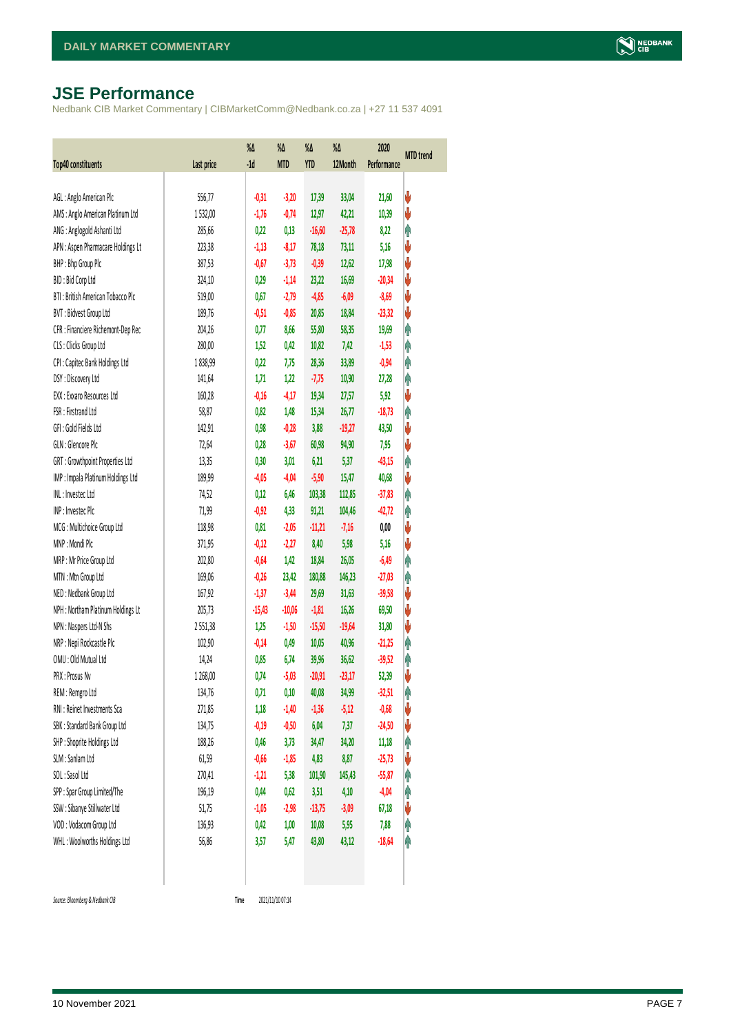# <span id="page-6-0"></span>**JSE Performance**

Nedbank CIB Market Commentary | CIBMarketComm@Nedbank.co.za | +27 11 537 4091

| <b>Top40 constituents</b>          | Last price | $\%$<br>$-1d$ | $\%$ $\Delta$<br><b>MTD</b> | %Δ<br>YTD | %Δ<br>12Month | 2020<br>Performance | <b>MTD</b> trend |
|------------------------------------|------------|---------------|-----------------------------|-----------|---------------|---------------------|------------------|
|                                    |            |               |                             |           |               |                     |                  |
| AGL: Anglo American Plc            | 556,77     | $-0,31$       | $-3,20$                     | 17,39     | 33,04         | 21,60               | V                |
| AMS: Anglo American Platinum Ltd   | 1532,00    | $-1,76$       | $-0,74$                     | 12,97     | 42,21         | 10,39               | ♦                |
| ANG: Anglogold Ashanti Ltd         | 285,66     | 0,22          | 0,13                        | $-16,60$  | $-25,78$      | 8,22                | φ                |
| APN : Aspen Pharmacare Holdings Lt | 223,38     | $-1,13$       | $-8,17$                     | 78,18     | 73,11         | 5,16                | V                |
| BHP: Bhp Group Plc                 | 387,53     | $-0,67$       | $-3,73$                     | $-0,39$   | 12,62         | 17,98               | ♦                |
| BID: Bid Corp Ltd                  | 324,10     | 0,29          | $-1,14$                     | 23,22     | 16,69         | $-20,34$            | ♦                |
| BTI: British American Tobacco Plc  | 519,00     | 0,67          | $-2,79$                     | $-4,85$   | $-6,09$       | $-8,69$             | ♦                |
| BVT: Bidvest Group Ltd             | 189,76     | $-0,51$       | $-0,85$                     | 20,85     | 18,84         | $-23,32$            | ♦                |
| CFR : Financiere Richemont-Dep Rec | 204,26     | 0,77          | 8,66                        | 55,80     | 58,35         | 19,69               | φ                |
| CLS : Clicks Group Ltd             | 280,00     | 1,52          | 0,42                        | 10,82     | 7,42          | $-1,53$             | φ                |
| CPI : Capitec Bank Holdings Ltd    | 1838,99    | 0,22          | 7,75                        | 28,36     | 33,89         | $-0,94$             | φ                |
| DSY: Discovery Ltd                 | 141,64     | 1,71          | 1,22                        | $-7,75$   | 10,90         | 27,28               | φ                |
| EXX : Exxaro Resources Ltd         | 160,28     | $-0,16$       | $-4,17$                     | 19,34     | 27,57         | 5,92                | ♦                |
| FSR: Firstrand Ltd                 | 58,87      | 0,82          | 1,48                        | 15,34     | 26,77         | $-18,73$            | φ                |
| GFI: Gold Fields Ltd               | 142,91     | 0,98          | $-0,28$                     | 3,88      | $-19,27$      | 43,50               | ♦                |
| GLN : Glencore Plc                 | 72,64      | 0,28          | $-3,67$                     | 60,98     | 94,90         | 7,95                | ♦                |
| GRT : Growthpoint Properties Ltd   | 13,35      | 0,30          | 3,01                        | 6,21      | 5,37          | $-43,15$            | Ą                |
| IMP : Impala Platinum Holdings Ltd | 189,99     | $-4,05$       | $-4,04$                     | $-5,90$   | 15,47         | 40,68               | ♦                |
| INL: Investec Ltd                  | 74,52      | 0,12          | 6,46                        | 103,38    | 112,85        | $-37,83$            | φ                |
| INP: Invested Plc                  | 71,99      | $-0,92$       | 4,33                        | 91,21     | 104,46        | $-42,72$            | Ą                |
| MCG: Multichoice Group Ltd         | 118,98     | 0,81          | $-2,05$                     | $-11,21$  | $-7,16$       | 0,00                | ♦                |
| MNP: Mondi Plc                     | 371,95     | $-0,12$       | $-2,27$                     | 8,40      | 5,98          | 5,16                | ♦                |
| MRP : Mr Price Group Ltd           | 202,80     | $-0,64$       | 1,42                        | 18,84     | 26,05         | $-6,49$             | φ                |
| MTN: Mtn Group Ltd                 | 169,06     | $-0,26$       | 23,42                       | 180,88    | 146,23        | $-27,03$            | φ                |
| NED: Nedbank Group Ltd             | 167,92     | $-1,37$       | $-3,44$                     | 29,69     | 31,63         | $-39,58$            | V                |
| NPH : Northam Platinum Holdings Lt | 205,73     | $-15,43$      | $-10,06$                    | $-1,81$   | 16,26         | 69,50               | V                |
| NPN : Naspers Ltd-N Shs            | 2551,38    | 1,25          | $-1,50$                     | $-15,50$  | $-19,64$      | 31,80               | V                |
| NRP : Nepi Rockcastle Plc          | 102,90     | $-0,14$       | 0,49                        | 10,05     | 40,96         | $-21,25$            | φ                |
| OMU : Old Mutual Ltd               | 14,24      | 0,85          | 6,74                        | 39,96     | 36,62         | $-39,52$            | φ                |
| PRX : Prosus Nv                    | 1 268,00   | 0,74          | $-5,03$                     | $-20,91$  | $-23,17$      | 52,39               | V                |
| REM : Remgro Ltd                   | 134,76     | 0,71          | 0,10                        | 40,08     | 34,99         | $-32,51$            | φ                |
| RNI : Reinet Investments Sca       | 271,85     | 1,18          | $-1,40$                     | $-1,36$   | $-5,12$       | $-0,68$             | V                |
| SBK: Standard Bank Group Ltd       | 134,75     | $-0,19$       | $-0,50$                     | 6,04      | 7,37          | $-24,50$            | V                |
| SHP: Shoprite Holdings Ltd         | 188,26     | 0,46          | 3,73                        | 34,47     | 34,20         | 11,18               | φ                |
| SLM : Sanlam Ltd                   | 61,59      | $-0,66$       | $-1,85$                     | 4,83      | 8,87          | $-25,73$            | V                |
| SOL: Sasol Ltd                     | 270,41     | $-1,21$       | 5,38                        | 101,90    | 145,43        | $-55,87$            | Ĥ                |
| SPP: Spar Group Limited/The        | 196,19     | 0,44          | 0,62                        | 3,51      | 4,10          | $-4,04$             | φ                |
| SSW : Sibanye Stillwater Ltd       | 51,75      | $-1,05$       | $-2,98$                     | $-13,75$  | $-3,09$       | 67,18               | V                |
| VOD: Vodacom Group Ltd             | 136,93     | 0,42          | 1,00                        | 10,08     | 5,95          | 7,88                | φ                |
| WHL: Woolworths Holdings Ltd       | 56,86      | 3,57          | 5,47                        | 43,80     | 43,12         | $-18,64$            | φ                |
|                                    |            |               |                             |           |               |                     |                  |

 $Source: Bloomberg & Nedbank *CB*$ 

Time 2021/11/10 07:14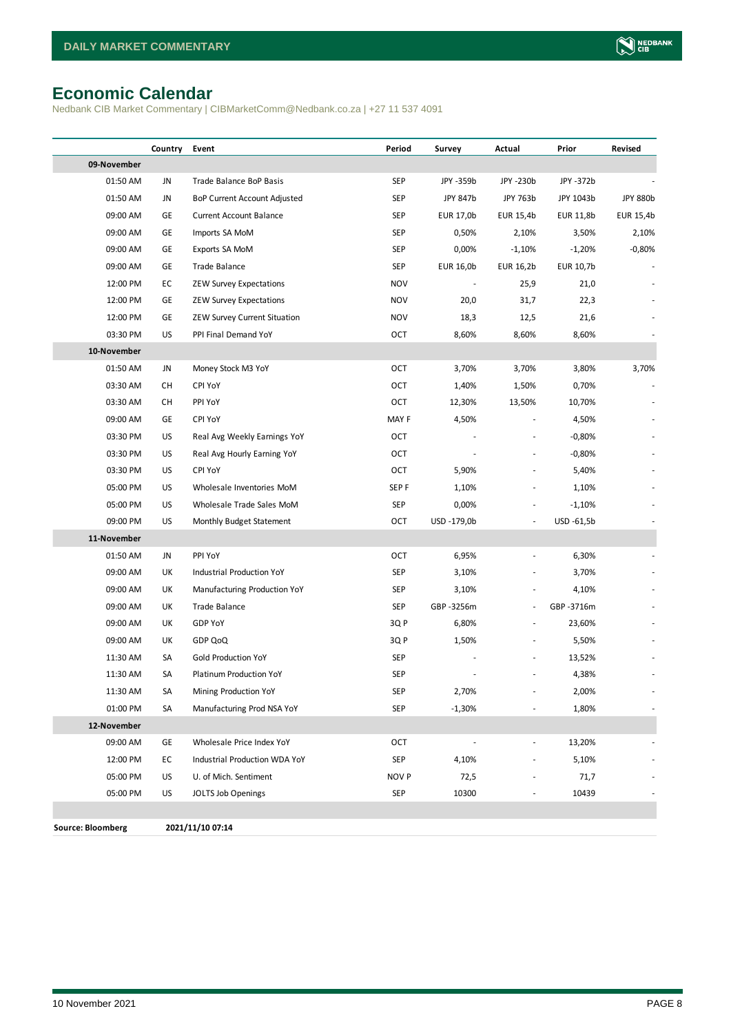# <span id="page-7-0"></span>**Economic Calendar**

Nedbank CIB Market Commentary | CIBMarketComm@Nedbank.co.za | +27 11 537 4091

|                          | Country | Event                          | Period     | Survey      | Actual        | Prior      | Revised         |
|--------------------------|---------|--------------------------------|------------|-------------|---------------|------------|-----------------|
| 09-November              |         |                                |            |             |               |            |                 |
| 01:50 AM                 | JN      | Trade Balance BoP Basis        | <b>SEP</b> | JPY -359b   | JPY -230b     | JPY -372b  |                 |
| 01:50 AM                 | JN      | BoP Current Account Adjusted   | SEP        | JPY 847b    | JPY 763b      | JPY 1043b  | <b>JPY 880b</b> |
| 09:00 AM                 | GE      | <b>Current Account Balance</b> | SEP        | EUR 17,0b   | EUR 15,4b     | EUR 11,8b  | EUR 15,4b       |
| 09:00 AM                 | GE      | Imports SA MoM                 | SEP        | 0,50%       | 2,10%         | 3,50%      | 2,10%           |
| 09:00 AM                 | GE      | Exports SA MoM                 | <b>SEP</b> | 0,00%       | $-1,10%$      | $-1,20%$   | $-0,80%$        |
| 09:00 AM                 | GE      | Trade Balance                  | SEP        | EUR 16,0b   | EUR 16,2b     | EUR 10,7b  |                 |
| 12:00 PM                 | EC      | <b>ZEW Survey Expectations</b> | <b>NOV</b> |             | 25,9          | 21,0       |                 |
| 12:00 PM                 | GE      | <b>ZEW Survey Expectations</b> | <b>NOV</b> | 20,0        | 31,7          | 22,3       |                 |
| 12:00 PM                 | GE      | ZEW Survey Current Situation   | <b>NOV</b> | 18,3        | 12,5          | 21,6       |                 |
| 03:30 PM                 | US      | PPI Final Demand YoY           | OCT        | 8,60%       | 8,60%         | 8,60%      |                 |
| 10-November              |         |                                |            |             |               |            |                 |
| 01:50 AM                 | JN      | Money Stock M3 YoY             | OCT        | 3,70%       | 3,70%         | 3,80%      | 3,70%           |
| 03:30 AM                 | CН      | <b>CPI YoY</b>                 | OCT        | 1,40%       | 1,50%         | 0,70%      |                 |
| 03:30 AM                 | CН      | PPI YoY                        | OCT        | 12,30%      | 13,50%        | 10,70%     |                 |
| 09:00 AM                 | GE      | CPI YoY                        | MAY F      | 4,50%       |               | 4,50%      |                 |
| 03:30 PM                 | US      | Real Avg Weekly Earnings YoY   | OCT        |             |               | $-0,80%$   |                 |
| 03:30 PM                 | US      | Real Avg Hourly Earning YoY    | OCT        |             |               | $-0,80%$   |                 |
| 03:30 PM                 | US      | <b>CPI YoY</b>                 | OCT        | 5,90%       |               | 5,40%      |                 |
| 05:00 PM                 | US      | Wholesale Inventories MoM      | SEP F      | 1,10%       | ٠             | 1,10%      |                 |
| 05:00 PM                 | US      | Wholesale Trade Sales MoM      | <b>SEP</b> | 0,00%       |               | $-1,10%$   |                 |
| 09:00 PM                 | US      | Monthly Budget Statement       | OCT        | USD -179,0b | ÷,            | USD -61,5b |                 |
| 11-November              |         |                                |            |             |               |            |                 |
| 01:50 AM                 | JN      | PPI YoY                        | OCT        | 6,95%       |               | 6,30%      |                 |
| 09:00 AM                 | UK      | Industrial Production YoY      | SEP        | 3,10%       |               | 3,70%      |                 |
| 09:00 AM                 | UK      | Manufacturing Production YoY   | SEP        | 3,10%       |               | 4,10%      |                 |
| 09:00 AM                 | UK      | <b>Trade Balance</b>           | <b>SEP</b> | GBP -3256m  | ÷,            | GBP -3716m |                 |
| 09:00 AM                 | UK      | GDP YoY                        | 3Q P       | 6,80%       | $\frac{1}{2}$ | 23,60%     |                 |
| 09:00 AM                 | UK      | GDP QoQ                        | 3Q P       | 1,50%       |               | 5,50%      |                 |
| 11:30 AM                 | SA      | Gold Production YoY            | SEP        |             |               | 13,52%     |                 |
| 11:30 AM                 | SA      | Platinum Production YoY        | <b>SEP</b> |             |               | 4,38%      |                 |
| 11:30 AM                 | SA      | Mining Production YoY          | SEP        | 2,70%       |               | 2,00%      |                 |
| 01:00 PM                 | SA      | Manufacturing Prod NSA YoY     | <b>SEP</b> | $-1,30%$    |               | 1,80%      |                 |
| 12-November              |         |                                |            |             |               |            |                 |
| 09:00 AM                 | GE      | Wholesale Price Index YoY      | OCT        |             |               | 13,20%     |                 |
| 12:00 PM                 | EC      | Industrial Production WDA YoY  | <b>SEP</b> | 4,10%       |               | 5,10%      |                 |
| 05:00 PM                 | US      | U. of Mich. Sentiment          | NOV P      | 72,5        |               | 71,7       |                 |
| 05:00 PM                 | US      | JOLTS Job Openings             | <b>SEP</b> | 10300       |               | 10439      |                 |
|                          |         |                                |            |             |               |            |                 |
| <b>Source: Bloomberg</b> |         | 2021/11/10 07:14               |            |             |               |            |                 |